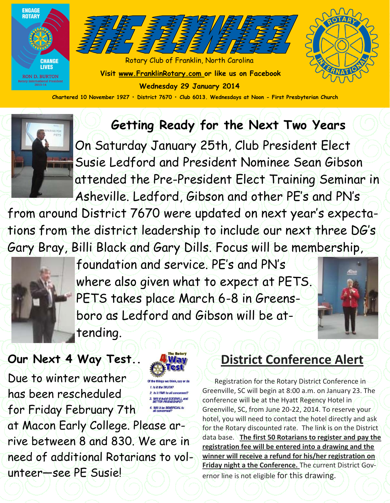



Rotary Club of Franklin, North Carolina **Visit www.FranklinRotary.com or like us on Facebook Wednesday 29 January 2014**



**Chartered 10 November 1927 • District 7670 • Club 6013. Wednesdays at Noon - First Presbyterian Church**

## **Getting Ready for the Next Two Years**



On Saturday January 25th, Club President Elect Susie Ledford and President Nominee Sean Gibson attended the Pre-President Elect Training Seminar in Asheville. Ledford, Gibson and other PE's and PN's

from around District 7670 were updated on next year's expectations from the district leadership to include our next three DG's Gary Bray, Billi Black and Gary Dills. Focus will be membership,



foundation and service. PE's and PN's where also given what to expect at PETS. PETS takes place March 6-8 in Greensboro as Ledford and Gibson will be attending.



### **Our Next 4 Way Test..**

Due to winter weather has been rescheduled for Friday February 7th at Macon Early College. Please arrive between 8 and 830. We are in need of additional Rotarians to volunteer—see PE Susie!



2. Is it FAIR to all concerned? **Will it build GOODWILL and**<br>RETTER ERIENDSHIPS? 4. Will it be BENEFICIAL to

## **District Conference Alert**

 Registration for the Rotary District Conference in Greenville, SC will begin at 8:00 a.m. on January 23. The conference will be at the Hyatt Regency Hotel in Greenville, SC, from June 20-22, 2014. To reserve your hotel, you will need to contact the hotel directly and ask for the Rotary discounted rate. The link is on the District data base. **The first 50 Rotarians to register and pay the registration fee will be entered into a drawing and the winner will receive a refund for his/her registration on Friday night a the Conference.** The current District Governor line is not eligible for this drawing.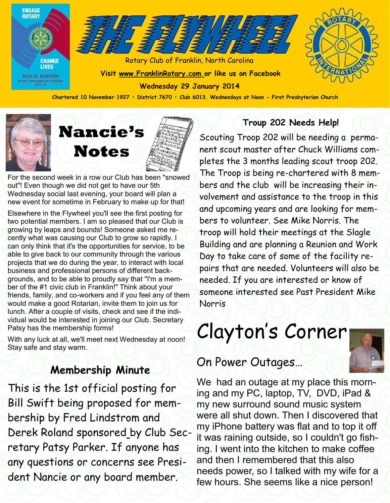

**Chartered 10 November 1927 • District 7670 • Club 6013. Wednesdays at Noon - First Presbyterian Church**



For the second week in a row our Club has been "snowed out"! Even though we did not get to have our 5th Wednesday social last evening, your board will plan a new event for sometime in February to make up for that!

Elsewhere in the Flywheel you'll see the first posting for two potential members. I am so pleased that our Club is growing by leaps and bounds! Someone asked me recently what was causing our Club to grow so rapidly. I can only think that it's the opportunities for service, to be able to give back to our community through the various projects that we do during the year, to interact with local business and professional persons of different backgrounds, and to be able to proudly say that "I'm a member of the #1 civic club in Franklin!" Think about your friends, family, and co-workers and if you feel any of them would make a good Rotarian, invite them to join us for lunch. After a couple of visits, check and see if the individual would be interested in joining our Club. Secretary Patsy has the membership forms!

With any luck at all, we'll meet next Wednesday at noon! Stay safe and stay warm.

#### **Membership Minute**

This is the 1st official posting for Bill Swift being proposed for membership by Fred Lindstrom and Derek Roland sponsored by Club Secretary Patsy Parker. If anyone has any questions or concerns see President Nancie or any board member.

#### **Troup 202 Needs Help!**

Scouting Troop 202 will be needing a permanent scout master after Chuck Williams completes the 3 months leading scout troop 202. The Troop is being re-chartered with 8 members and the club will be increasing their involvement and assistance to the troop in this and upcoming years and are looking for members to volunteer. See Mike Norris. The troop will hold their meetings at the Slagle Building and are planning a Reunion and Work Day to take care of some of the facility repairs that are needed. Volunteers will also be needed. If you are interested or know of someone interested see Past President Mike Norris

# Clayton's Corner

#### On Power Outages…

We had an outage at my place this morning and my PC, laptop, TV, DVD, iPad & my new surround sound music system were all shut down. Then I discovered that my iPhone battery was flat and to top it off it was raining outside, so I couldn't go fishing. I went into the kitchen to make coffee and then I remembered that this also needs power, so I talked with my wife for a few hours. She seems like a nice person!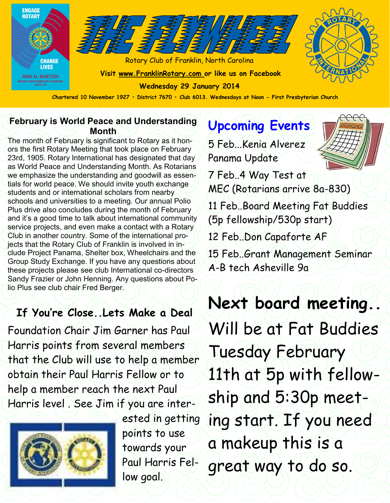

#### **February is World Peace and Understanding Month**

The month of February is significant to Rotary as it honors the first Rotary Meeting that took place on February 23rd, 1905. Rotary International has designated that day as World Peace and Understanding Month. As Rotarians we emphasize the understanding and goodwill as essentials for world peace. We should invite youth exchange students and or international scholars from nearby schools and universities to a meeting. Our annual Polio Plus drive also concludes during the month of February and it's a good time to talk about international community service projects, and even make a contact with a Rotary Club in another country. Some of the international projects that the Rotary Club of Franklin is involved in include Project Panama, Shelter box, Wheelchairs and the Group Study Exchange. If you have any questions about these projects please see club International co-directors Sandy Frazier or John Henning. Any questions about Polio Plus see club chair Fred Berger.

### **If You're Close..Lets Make a Deal**

Foundation Chair Jim Garner has Paul Harris points from several members that the Club will use to help a member obtain their Paul Harris Fellow or to help a member reach the next Paul Harris level . See Jim if you are inter-



ested in getting points to use towards your Paul Harris Fellow goal.

# **Upcoming Events**

5 Feb...Kenia Alverez Panama Update

7 Feb..4 Way Test at MEC (Rotarians arrive 8a-830) 11 Feb..Board Meeting Fat Buddies (5p fellowship/530p start) 12 Feb..Don Capaforte AF

15 Feb..Grant Management Seminar A-B tech Asheville 9a

**Next board meeting..**  Will be at Fat Buddies Tuesday February 11th at 5p with fellowship and 5:30p meeting start. If you need a makeup this is a great way to do so.